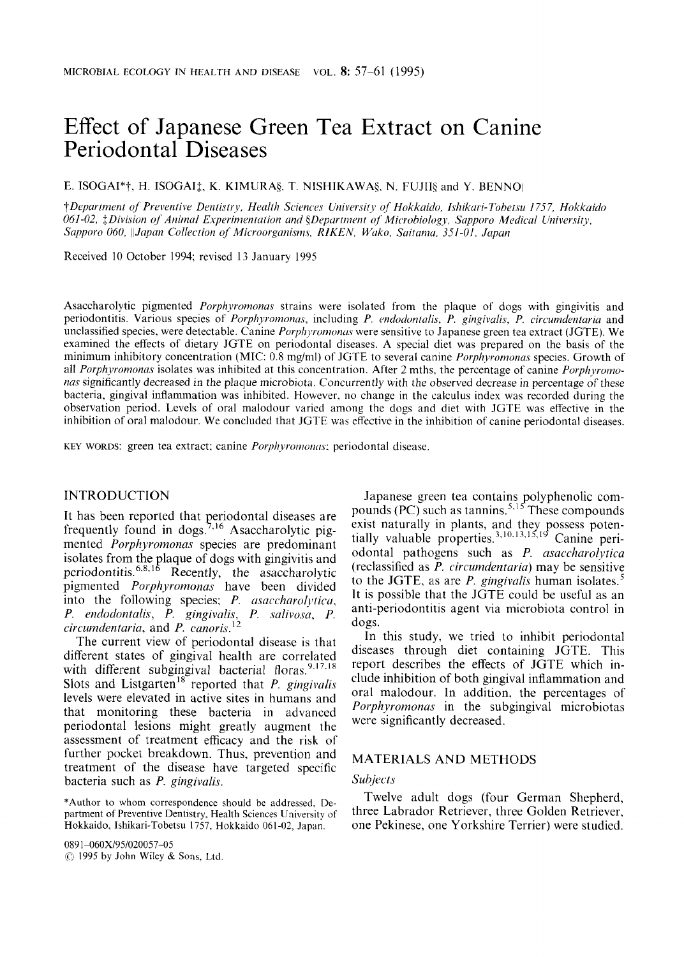# Effect of Japanese Green Tea Extract on Canine Periodontal Diseases

**E. ISOGAI\*†, H. ISOGAI‡, K. KIMURA§, T. NISHIKAWA§, N. FUJII§ and Y. BENNO** 

*?Department of Preventive Dentistry, Health Scieni,cJs Universitj, of Hokkuiiio, Ishikari-Tobetsu 1757, Hokkaido 061-02, \$Division of Animml E.xperinientution and \$Dqmmienr of Microbiology. Sapporo Medical University, Sapporo 060, IIJapan Collection of Microorganisms. RIKEN. Wuko, Soitamu. 351-01, Jcipan* 

Received 10 October 1994; revised 13 January 1995

Asaccharolytic pigmented *Porphyromonas* strains were isolated from the plaque of dogs with gingivitis and periodontitis. Various species of *Porphyromonas*, including *P. endodontalis*, *P. gingivalis*, *P. circumdentaria* and unclassified species, were detectable. Canine *Porphyromonas* were sensitive to Japanese green tea extract (JGTE). We examined the effects of dietary JGTE on periodontal diseases. **A** special diet was prepared on the basis of the minimum inhibitory concentration (MIC: 0.8 mg/ml) of JGTE to several canine *Porphyromonas* species. Growth of all *Porphyromonas* isolates was inhibited at this concentration. After 2 mths, the percentage of canine *Porphyromonas* significantly decreased in the plaque microbiota. Concurrently with the observed decrease in percentage of these bacteria, gingival inflammation was inhibited. However. no change in the calculus index was recorded during the observation period. Levels of oral malodour varied among the dogs and diet with JGTE was effective in the inhibition of oral malodour. We concluded that JGTE was effective in the inhibition of canine periodontal diseases.

KEY WORDS: green tea extract; canine *Porphyromonas*; periodontal disease.

# INTRODUCTION

It has been reported that periodontal diseases are frequently found in dogs.<sup>7,16</sup> Asaccharolytic pigmented *Porphyromonas* species are predominant isolates from the plaque of dogs with gingivitis and periodontitis.<sup>6,8,16</sup> Recently, the asaccharolytic pigmented *Porphyromonas* have been divided into the following species; *P. asaccharolytica*, *P. endodontalis, P. gingivalis, P. salivosa, P. circumdentaria,* and *P. canoris.* l2

The current view of periodontal disease is that different states of gingival health are correlated with different subgingival bacterial floras.<sup>9,17,18</sup> Slots and Listgarten<sup>18</sup> reported that *P. gingivalis* levels were elevated in active sites in humans and that monitoring these bacteria in advanced periodontal lesions might greatly augment the assessment of treatment efficacy and the risk of further pocket breakdown. Thus, prevention and treatment of the disease have targeted specific bacteria such as P. *gingivalis.* 

\*Author to whom correspondence should be addressed, Department of Preventive Dentistry. Health Sciences University of Hokkaido, Ishikari-Tobetsu 1757, Hokkaido 061-02, Japan.

(C,J 1995 by John Wiley & Sons, Ltd. 0891-060X/95/020057-05

Japanese green tea contains polyphenolic compounds (PC) such as tannins.<sup>5,15</sup> These compounds tially valuable properties. odontal pathogens such as P. *asaccharolytica*  (reclassified as *P. circurndentaria)* may be sensitive to the JCTE, as are *P. gingivalis* human isolates.' It is possible that the JGTE could be useful as an anti-periodontitis agent via microbiota control in dogs. exist naturally in plants,

In this study. we tried to inhibit periodontal diseases through diet containing JGTE. This report describes the effects of JGTE which include inhibition of both gingival inflammation and oral malodour. In addition. the percentages of *Porphyromonas* in the subgingival microbiotas were significantly decreased.

#### MATERIALS AND METHODS

# *Subjects*

Twelve adult dogs (four German Shepherd, three Labrador Retriever, three Golden Retriever, one Pekinese, one Yorkshire Terrier) were studied.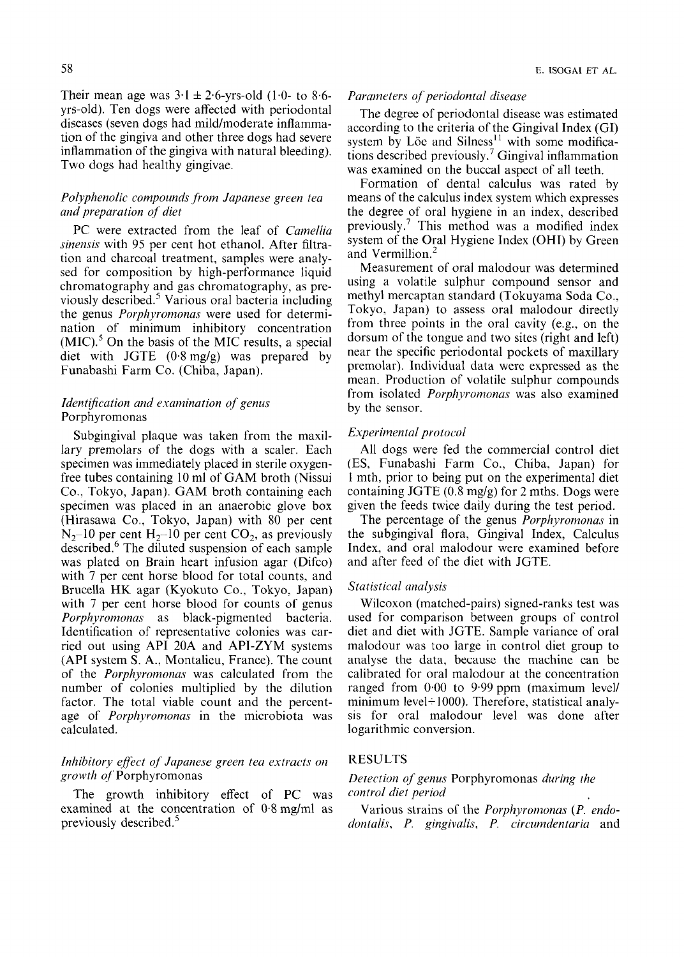# *Polyphenolic compounds from Japanese green tea and preparation of diet*

PC were extracted from the leaf of *Camellia sinensis* with 95 per cent hot ethanol. After filtration and charcoal treatment, samples were analysed for composition by high-performance liquid chromatography and gas chromatography, as previously described.' Various oral bacteria including the genus *Porphyromonas* were used for determination of minimum inhibitory concentration  $(MIC).$ <sup>5</sup> On the basis of the MIC results, a special diet with JGTE (0.8mg/g) was prepared by Funabashi Farm Co. (Chiba, Japan).

# *IdentiJication and examination of genus*  Porphyromonas

Subgingival plaque was taken from the maxillary premolars of the dogs with a scaler. Each specimen was immediately placed in sterile oxygenfree tubes containing 10 ml of GAM broth (Nissui *Co.,* Tokyo, Japan). CAM broth containing each specimen was placed in an anaerobic glove box (Hirasawa Co., Tokyo, Japan) with 80 per cent  $N_2$ -10 per cent H<sub>2</sub>-10 per cent CO<sub>2</sub>, as previously described.<sup>6</sup> The diluted suspension of each sample was plated on Brain heart infusion agar (Difco) with 7 per cent horse blood for total counts, and Brucella HK agar (Kyokuto Co., Tokyo, Japan) with 7 per cent horse blood for counts of genus *Porphyromonas* as black-pigmented bacteria. Identification of representative colonies was carried out using API **20A** and API-ZYM systems (API system S. **A.,** Montalieu, France). The count of the *Porphyromonas* was calculated from the number of colonies multiplied by the dilution factor. The total viable count and the percentage of *Porphyromonas* in the microbiota was calculated.

# *Inhibitory efect of Jupanese green tea extracts on growth of'* Porphyromonas

examined at the concentration of 0.8 mglml as Various strains of the *Porphyromonas (P. endo-*The growth inhibitory effect of PC was *control diet Period* 

#### *Parameters oj periodontal disease*

The degree of periodontal disease was estimated according to the criteria of the Gingival Index (GI) system by Löe and Silness<sup>11</sup> with some modifications described previously.<sup>7</sup> Gingival inflammation was examined on the buccal aspect of all teeth.

Formation of dental calculus was rated by means of the calculus index system which expresses the degree of oral hygiene in an index, described previously.<sup>7</sup> This method was a modified index system of the Oral Hygiene Index (OHI) by Green and Vermillion.<sup>2</sup>

Measurement of oral malodour was determined using a volatile sulphur compound sensor and methyl mercaptan standard (Tokuyama Soda Co., Tokyo, Japan) to assess oral malodour directly from three points in the oral cavity (e.g., on the dorsum of the tongue and two sites (right and left) near the specific periodontal pockets of maxillary premolar). Individual data were expressed as the mean. Production of volatile sulphur compounds from isolated *Porphyromonas* was also examined by the sensor.

#### *Experimental protocol*

All dogs were fed the commercial control diet (ES, Funabashi Farm Co., Chiba. Japan) for 1 mth, prior to being put on the experimental diet containing JGTE (0.8 mg/g) for 2 mths. Dogs were given the feeds twice daily during the test period.

The percentage of the genus *Porphyrornonas* in the subgingival flora, Gingival Index, Calculus Index, and oral malodour were examined before and after feed of the diet with JGTE.

#### *Statistical analysis*

Wilcoxon (matched-pairs) signed-ranks test was used for comparison between groups of control diet and diet with JGTE. Sample variance of oral malodour was too large in control diet group to analyse the data, because the machine can be calibrated for oral malodour at the concentration ranged from 0.00 to 9.99 ppm (maximum level/ minimum level + 1000). Therefore, statistical analysis for oral malodour level was done after logarithmic conversion.

# RESULTS

# *Detection of genus* Porphyromonas *during the*

previously described.' *dontalis, P. gingivalis, P. circumdentaria* and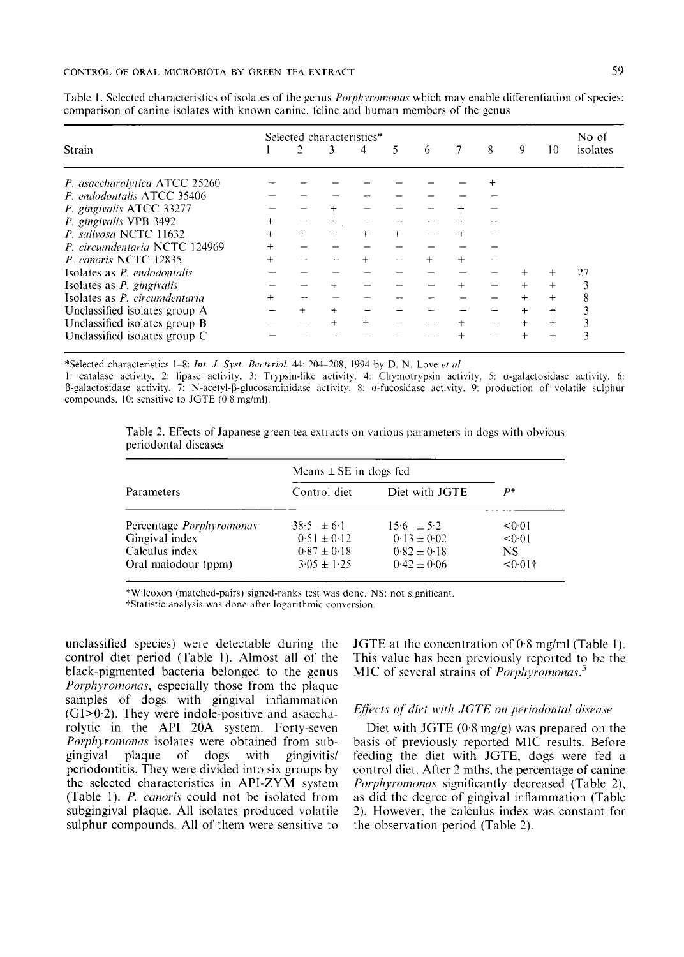|                                    |     | Selected characteristics* |           |        |     |   |  |   |   |           | No of    |
|------------------------------------|-----|---------------------------|-----------|--------|-----|---|--|---|---|-----------|----------|
| Strain                             |     |                           | 3         | 4      | 5   | 6 |  | 8 | 9 | 10        | isolates |
| P. asaccharolytica ATCC 25260      |     |                           |           |        |     |   |  |   |   |           |          |
| P. endodontalis ATCC 35406         |     |                           |           |        |     |   |  |   |   |           |          |
| P. gingivalis ATCC 33277           |     |                           |           |        |     |   |  |   |   |           |          |
| P. gingivalis VPB 3492             |     |                           |           |        |     |   |  |   |   |           |          |
| P. salivosa NCTC 11632             | $+$ | $^{+}$                    | $+$       | $+$    | $+$ |   |  |   |   |           |          |
| P. circumdentaria NCTC 124969      |     |                           |           |        |     |   |  |   |   |           |          |
| P. canoris NCTC 12835              |     |                           |           |        |     |   |  |   |   |           |          |
| Isolates as <i>P. endodontalis</i> |     |                           |           |        |     |   |  |   |   |           | 27       |
| Isolates as $P$ . gingivalis       |     |                           |           |        |     |   |  |   |   |           |          |
| Isolates as P. circumdentaria      |     |                           |           |        |     |   |  |   |   | $\ddot{}$ | 8        |
| Unclassified isolates group A      |     |                           | $\ddot{}$ |        |     |   |  |   |   | $\ddot{}$ |          |
| Unclassified isolates group B      |     |                           | $^{+}$    | $^{+}$ |     |   |  |   |   | $\ddot{}$ |          |
| Unclassified isolates group C      |     |                           |           |        |     |   |  |   |   | $^{+}$    | 3        |

Table 1. Selected characteristics of isolates of the genus *Porphyromonas* which may enable differentiation of species: comparison of canine isolates with known canine, feline and human members of the genus

\*Selected characteristics 1-8: Int. J. Syst. Bacteriol. 44: 204-208, 1994 by D. N. Love et al.

1: catalase activity, 2: lipase activity, 3: Trypsin-like activity. 4: Chymotrypsin activity, 5:  $\alpha$ -galactosidase activity, 6:  $\beta$ -galactosidase activity, 7: N-acetyl- $\beta$ -glucosaminidase activity. 8: *u*-fucosidase activity, 9: production of volatile sulphur compounds, 10. sensitive to JGTE (0.8 mg/ml).

Table 2. Effects of Japanese green tea extracts on various parameters in dogs with obvious periodontal diseases

| Parameters                      | Means $\pm$ SE in dogs fed |                 |            |  |
|---------------------------------|----------------------------|-----------------|------------|--|
|                                 | Control diet               | Diet with JGTE  | p*         |  |
| Percentage <i>Porphyromonas</i> | $38.5 \pm 6.1$             | $15.6 \pm 5.2$  | < 0.01     |  |
| Gingival index                  | $0.51 \pm 0.12$            | $0.13 \pm 0.02$ | < 0.01     |  |
| Calculus index                  | $0.87 \pm 0.18$            | $0.82 \pm 0.18$ | NS.        |  |
| Oral malodour (ppm)             | $3.05 \pm 1.25$            | $0.42 \pm 0.06$ | $< 0.01$ + |  |

\*Wilcoxon (matched-pairs) signed-ranks test was done. NS: not significant.

†Statistic analysis was done after logarithmic conversion.

unclassified species) were detectable during the control diet period (Table 1). Almost all of the black-pigmented bacteria belonged to the genus *Porphyromonas*, especially those from the plaque samples of dogs with gingival inflammation  $(GI>0.2)$ . They were indole-positive and asaccharolytic in the API 20A system. Forty-seven Porphyromonas isolates were obtained from subgingival plaque of dogs with gingivitis/ periodontitis. They were divided into six groups by the selected characteristics in API-ZYM system (Table 1). P. canoris could not be isolated from subgingival plaque. All isolates produced volatile sulphur compounds. All of them were sensitive to

JGTE at the concentration of  $0.8$  mg/ml (Table 1). This value has been previously reported to be the MIC of several strains of *Porphyromonas.*<sup>5</sup>

## Effects of diet with JGTE on periodontal disease

Diet with JGTE  $(0.8 \text{ mg/g})$  was prepared on the basis of previously reported MIC results. Before feeding the diet with JGTE, dogs were fed a control diet. After 2 mths, the percentage of canine Porphyromonas significantly decreased (Table 2), as did the degree of gingival inflammation (Table 2). However, the calculus index was constant for the observation period (Table 2).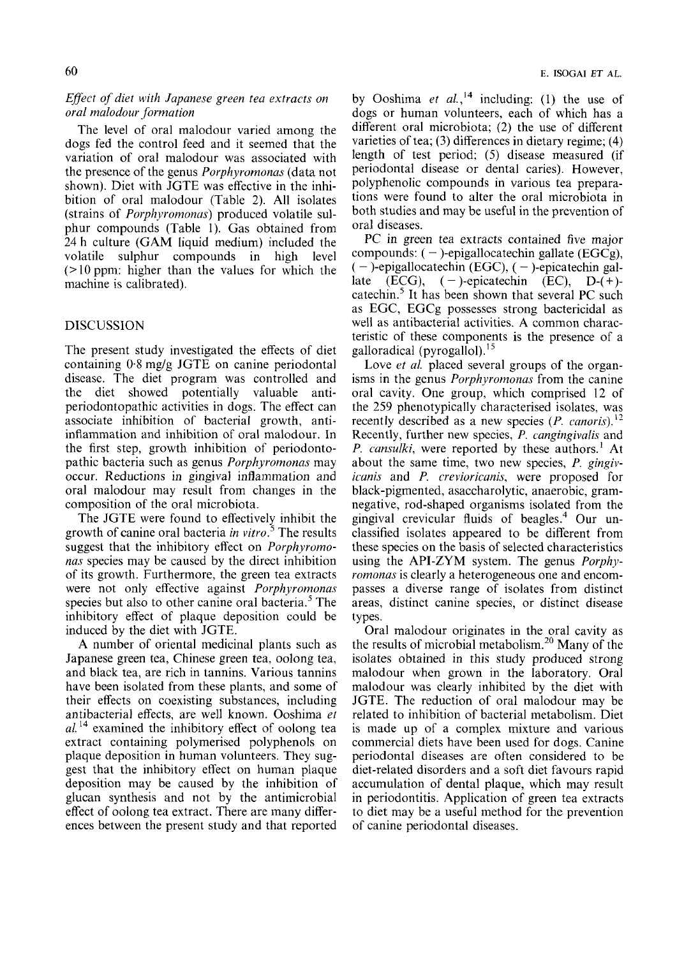# *Eflect of diet with Japanese green tea extracts on oral malodour -formation*

The level of oral malodour varied among the dogs fed the control feed and it seemed that the variation of oral malodour was associated with the presence of the genus *Porphyromonns* (data not shown). Diet with JGTE was effective in the inhibition of oral malodour (Table 2). All isolates (strains of *Porphyromonus)* produced volatile sulphur compounds (Table 1). Gas obtained from 24 h culture (GAM liquid medium) included the volatile sulphur compounds in high level *(7* 10 ppm: higher than the values for which the machine is calibrated).

# DISCUSSlON

The present study investigated the effects of diet containing 0.8 mg/g JGTE on canine periodontal disease. The diet program was controlled and the diet showed potentially valuable antiperiodontopathic activities in dogs. The effect can associate inhibition of bacterial growth, antiinflammation and inhibition of oral malodour. In the first step, growth inhibition of periodontopathic bacteria such as genus *Porphyromonas* may occur. Reductions in gingival inflammation and oral malodour may result from changes in the composition of the oral microbiota.

The JGTE were found to effectively inhibit the growth of canine oral bacteria *in vitro.'* The results suggest that the inhibitory effect on *Porphyromonus* species may be caused by the direct inhibition of its growth. Furthermore, the green tea extracts were not only effective against *Porphyromonas*  species but also to other canine oral bacteria.' The inhibitory effect of plaque deposition could be induced by the diet with JGTE.

**A** number of oriental medicinal plants such as Japanese green tea, Chinese green tea, oolong tea, and black tea, are rich in tannins. Various tannins have been isolated from these plants, and some of their effects on coexisting substances, including antibacterial effects, are well known. Ooshima *ei*   $al.$ <sup>14</sup> examined the inhibitory effect of oolong tea extract containing polymerised polyphenols on plaque deposition in human volunteers. They suggest that the inhibitory effect on human plaque deposition may be caused by the inhibition of glucan synthesis and not by the antimicrobial effect of oolong tea extract. There are many differences between the present study and that reported

by Ooshima *et al.*,<sup>14</sup> including: (1) the use of dogs or human volunteers, each of which has a different oral microbiota; (2) the use of different varieties of tea; (3) differences in dietary regime; (4) length of test period; (5) disease measured (if periodontal disease or dental caries). However, polyphenolic compounds in various tea preparations were found to alter the oral microbiota in both studies and may be useful in the prevention of oral diseases.

PC in green tea extracts contained five major compounds:  $(-)$ -epigallocatechin gallate (EGCg),  $(-)$ -epigallocatechin (EGC),  $(-)$ -epicatechin gallate  $(ECG)$ ,  $(-)$ -epicatechin  $(EC)$ ,  $D-(+)$ catechin.<sup>5</sup> It has been shown that several PC such as EGC, EGCg possesses strong bactericidal as well as antibacterial activities. A common characteristic of these components is the presence of a galloradical (pyrogallol). $15$ 

Love *et al.* placed several groups of the organisms in the genus *Porphyromonas* from the canine oral cavity. One group, which comprised 12 of the 259 phenotypically characterised isolates, was recently described as a new species (P. canoris).<sup>12</sup> Recently, further new species, *P. cangingivalis* and *P. cansulki,* were reported by these authors.' At about the same time, two new species, P. *gingivirunis* and *P. rrevioricanis,* were proposed for black-pigmented, asaccharolytic, anaerobic, gramnegative, rod-shaped organisms isolated from the gingival crevicular fluids of beagle^.^ Our unclassified isolates appeared to be different from these species on the basis of selected characteristics using the API-ZYM system. The genus *Porphyromonas* is clearly a heterogeneous one and encompasses a diverse range of isolates from distinct areas, distinct canine species, or distinct disease types.

Oral malodour originates in the oral cavity as the results of microbial metabolism.20 Many of the isolates obtained in this study produced strong malodour when grown in the laboratory. Oral malodour was clearly inhibited by the diet with JGTE. The reduction of oral malodour may be related to inhibition of bacterial metabolism. Diet is made up of a complex mixture and various commercial diets have been used for dogs. Canine periodontal diseases are often considered to be diet-related disorders and a soft diet favours rapid accumulation of dental plaque, which may result in periodontitis. Application of green tea extracts to diet may be a useful method for the prevention of canine periodontal diseases.